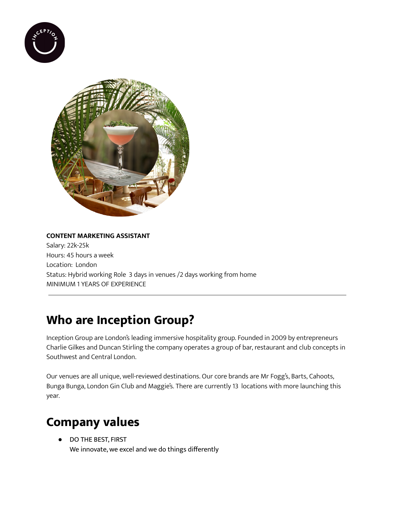



#### **CONTENT MARKETING ASSISTANT**

Salary: 22k-25k Hours: 45 hours a week Location: London Status: Hybrid working Role 3 days in venues /2 days working from home MINIMUM 1 YEARS OF EXPERIENCE

### **Who are Inception Group?**

Inception Group are London's leading immersive hospitality group. Founded in 2009 by entrepreneurs Charlie Gilkes and Duncan Stirling the company operates a group of bar, restaurant and club concepts in Southwest and Central London.

Our venues are all unique, well-reviewed destinations. Our core brands are Mr Fogg's, Barts, Cahoots, Bunga Bunga, London Gin Club and Maggie's. There are currently 13 locations with more launching this year.

#### **Company values**

● DO THE BEST, FIRST We innovate, we excel and we do things differently